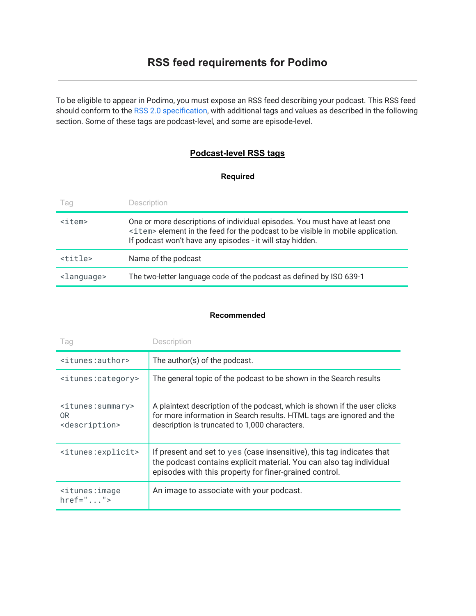To be eligible to appear in Podimo, you must expose an RSS feed describing your podcast. This RSS feed should conform to the RSS 2.0 [specification,](http://cyber.law.harvard.edu/rss/rss.html) with additional tags and values as described in the following section. Some of these tags are podcast-level, and some are episode-level.

## **Podcast-level RSS tags**

### **Required**

| Tag                   | Description                                                                                                                                                                                                                         |
|-----------------------|-------------------------------------------------------------------------------------------------------------------------------------------------------------------------------------------------------------------------------------|
| <item></item>         | One or more descriptions of individual episodes. You must have at least one<br><item> element in the feed for the podcast to be visible in mobile application.<br/>If podcast won't have any episodes - it will stay hidden.</item> |
| <title></title>       | Name of the podcast                                                                                                                                                                                                                 |
| <language></language> | The two-letter language code of the podcast as defined by ISO 639-1                                                                                                                                                                 |

#### **Recommended**

| Tag                                                                                 | Description                                                                                                                                                                                            |
|-------------------------------------------------------------------------------------|--------------------------------------------------------------------------------------------------------------------------------------------------------------------------------------------------------|
| <itunes:author></itunes:author>                                                     | The author(s) of the podcast.                                                                                                                                                                          |
| <itunes:category></itunes:category>                                                 | The general topic of the podcast to be shown in the Search results                                                                                                                                     |
| <itunes:summary><br/>0<sub>R</sub><br/><description></description></itunes:summary> | A plaintext description of the podcast, which is shown if the user clicks<br>for more information in Search results. HTML tags are ignored and the<br>description is truncated to 1,000 characters.    |
| <itunes:explicit></itunes:explicit>                                                 | If present and set to yes (case insensitive), this tag indicates that<br>the podcast contains explicit material. You can also tag individual<br>episodes with this property for finer-grained control. |
| $\leq$ itunes: image<br>$heref = "$ ">                                              | An image to associate with your podcast.                                                                                                                                                               |